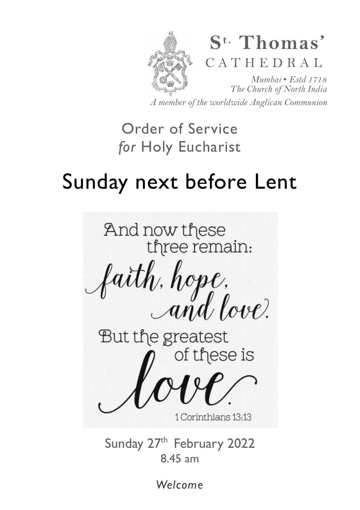

*A member of the worldwide Anglican Communion* 

# Order of Service *for* Holy Eucharist

# Sunday next before Lent



Sunday 27<sup>th</sup> February 2022 8.45 am

*Welcome*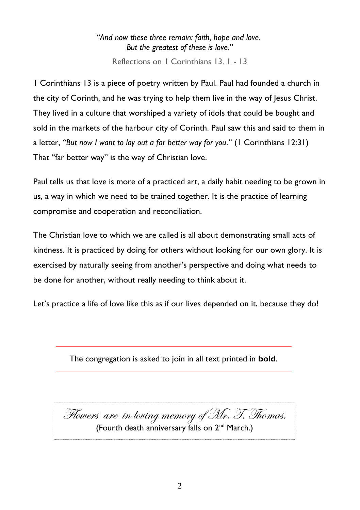#### *"And now these three remain: faith, hope and love. But the greatest of these is love."*

Reflections on 1 Corinthians 13. 1 - 13

1 Corinthians 13 is a piece of poetry written by Paul. Paul had founded a church in the city of Corinth, and he was trying to help them live in the way of Jesus Christ. They lived in a culture that worshiped a variety of idols that could be bought and sold in the markets of the harbour city of Corinth. Paul saw this and said to them in a letter, *"But now I want to lay out a far better way for you*." (1 Corinthians 12:31) That "far better way" is the way of Christian love.

Paul tells us that love is more of a practiced art, a daily habit needing to be grown in us, a way in which we need to be trained together. It is the practice of learning compromise and cooperation and reconciliation.

The Christian love to which we are called is all about demonstrating small acts of kindness. It is practiced by doing for others without looking for our own glory. It is exercised by naturally seeing from another's perspective and doing what needs to be done for another, without really needing to think about it.

Let's practice a life of love like this as if our lives depended on it, because they do!

The congregation is asked to join in all text printed in **bold**.

Flowers are in loving memory of Mr. T. Thomas. (Fourth death anniversary falls on 2nd March.)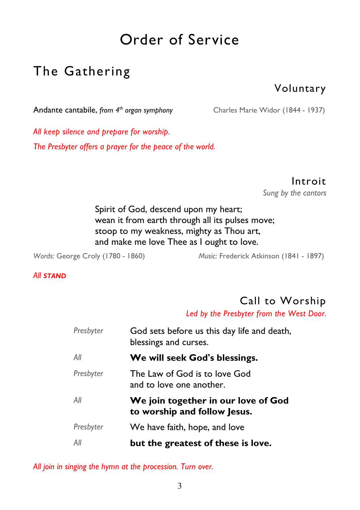# Order of Service

### The Gathering

### Voluntary

Andante cantabile, *from 4th organ symphony* Charles Marie Widor (1844 - 1937)

*All keep silence and prepare for worship. The Presbyter offers a prayer for the peace of the world.* 

> Introit *Sung by the cantors*

Spirit of God, descend upon my heart; wean it from earth through all its pulses move; stoop to my weakness, mighty as Thou art, and make me love Thee as I ought to love.

*Words:* George Croly (1780 - 1860) *Music:* Frederick Atkinson (1841 - 1897)

#### *All STAND*

### Call to Worship

*Led by the Presbyter from the West Door.* 

| Presbyter | God sets before us this day life and death,<br>blessings and curses. |
|-----------|----------------------------------------------------------------------|
| All       | We will seek God's blessings.                                        |
| Presbyter | The Law of God is to love God<br>and to love one another.            |
| All       | We join together in our love of God<br>to worship and follow Jesus.  |
| Presbyter | We have faith, hope, and love                                        |
| All       | but the greatest of these is love.                                   |

*All join in singing the hymn at the procession. Turn over.*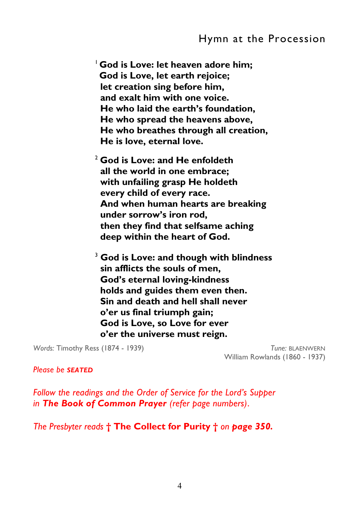#### Hymn at the Procession

<sup>1</sup>**God is Love: let heaven adore him; God is Love, let earth rejoice; let creation sing before him, and exalt him with one voice. He who laid the earth's foundation, He who spread the heavens above, He who breathes through all creation, He is love, eternal love.** 

<sup>2</sup> **God is Love: and He enfoldeth all the world in one embrace; with unfailing grasp He holdeth every child of every race. And when human hearts are breaking under sorrow's iron rod, then they find that selfsame aching deep within the heart of God.** 

<sup>3</sup> **God is Love: and though with blindness sin afflicts the souls of men, God's eternal loving-kindness holds and guides them even then. Sin and death and hell shall never o'er us final triumph gain; God is Love, so Love for ever o'er the universe must reign.** 

*Words:* Timothy Ress (1874 - 1939) *Tune:* BLAENWERN

William Rowlands (1860 - 1937)

*Please be SEATED*

*Follow the readings and the Order of Service for the Lord's Supper in The Book of Common Prayer (refer page numbers)*.

*The Presbyter reads* **† The Collect for Purity †** *on page 350.*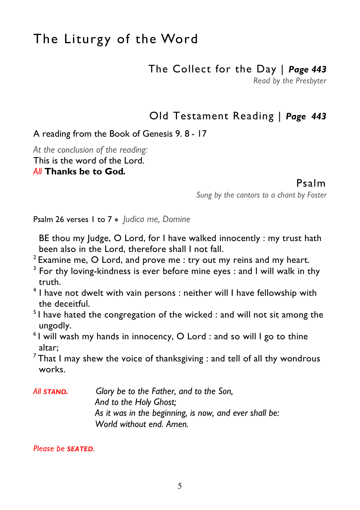### The Liturgy of the Word

The Collect for the Day | *Page 443* 

*Read by the Presbyter* 

#### Old Testament Reading | *Page 443*

A reading from the Book of Genesis 9. 8 - 17

*At the conclusion of the reading:*  This is the word of the Lord. *All* **Thanks be to God***.* 

Psalm

*Sung by the cantors to a chant by Foster* 

Psalm 26 verses 1 to 7 ● *Judica me, Domine* 

BE thou my Judge, O Lord, for I have walked innocently : my trust hath been also in the Lord, therefore shall I not fall.

- $2$  Examine me, O Lord, and prove me : try out my reins and my heart.
- $^3$  For thy loving-kindness is ever before mine eyes : and I will walk in thy truth.
- <sup>4</sup> I have not dwelt with vain persons : neither will I have fellowship with the deceitful.
- <sup>5</sup>I have hated the congregation of the wicked : and will not sit among the ungodly.
- $61$  will wash my hands in innocency, O Lord : and so will I go to thine altar;
- $7$ That I may shew the voice of thanksgiving : and tell of all thy wondrous works.
- *All STAND. Glory be to the Father, and to the Son, And to the Holy Ghost; As it was in the beginning, is now, and ever shall be: World without end. Amen.*

*Please be SEATED.*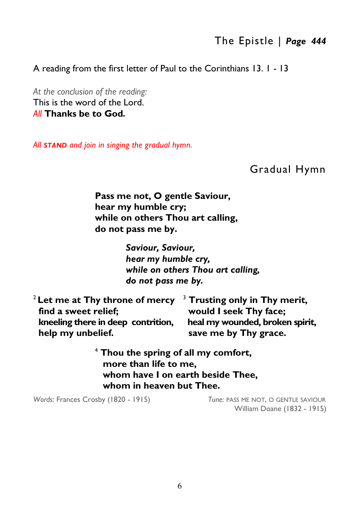A reading from the first letter of Paul to the Corinthians 13. 1 - 13

*At the conclusion of the reading:*  This is the word of the Lord. *All* **Thanks be to God***.* 

*All STAND and join in singing the gradual hymn.* 

Gradual Hymn

**Pass me not, O gentle Saviour, hear my humble cry; while on others Thou art calling, do not pass me by.** 

> *Saviour, Saviour, hear my humble cry, while on others Thou art calling, do not pass me by.*

| <sup>2</sup> Let me at Thy throne of mercy $^{-3}$ Trusting only in Thy merit, |                                 |
|--------------------------------------------------------------------------------|---------------------------------|
| find a sweet relief;                                                           | would I seek Thy face;          |
| kneeling there in deep contrition,                                             | heal my wounded, broken spirit, |
| help my unbelief.                                                              | save me by Thy grace.           |

<sup>4</sup> **Thou the spring of all my comfort, more than life to me, whom have I on earth beside Thee, whom in heaven but Thee.** 

*Words:* Frances Crosby (1820 - 1915) *Tune:* PASS ME NOT, O GENTLE SAVIOUR

William Doane (1832 - 1915)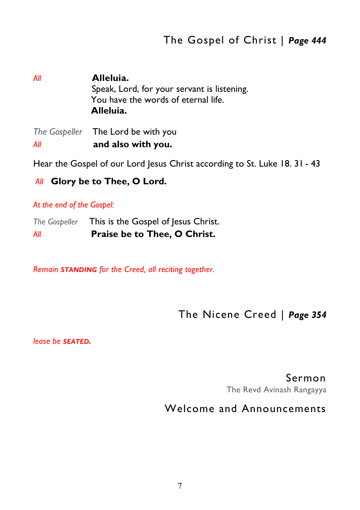*All* **Alleluia.**  Speak, Lord, for your servant is listening. You have the words of eternal life.  **Alleluia.** 

*The Gospeller* The Lord be with you *All* **and also with you.** 

Hear the Gospel of our Lord Jesus Christ according to St. Luke 18. 31 - 43

#### *All* **Glory be to Thee, O Lord.**

*At the end of the Gospel:* 

| The Gospeller | This is the Gospel of Jesus Christ. |
|---------------|-------------------------------------|
| All           | Praise be to Thee, O Christ.        |

*Remain STANDING for the Creed, all reciting together.* 

#### The Nicene Creed | *Page 354*

*lease be SEATED.* 

#### Sermon

The Revd Avinash Rangayya

#### Welcome and Announcements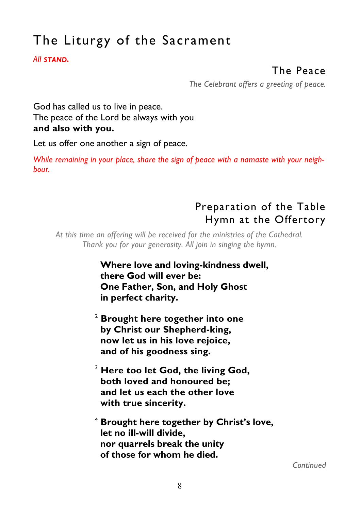## The Liturgy of the Sacrament

#### *All STAND.*

#### The Peace

*The Celebrant offers a greeting of peace.* 

God has called us to live in peace. The peace of the Lord be always with you **and also with you.** 

Let us offer one another a sign of peace.

*While remaining in your place, share the sign of peace with a namaste with your neighbour.* 

### Preparation of the Table Hymn at the Offertory

*At this time an offering will be received for the ministries of the Cathedral. Thank you for your generosity. All join in singing the hymn.* 

> **Where love and loving-kindness dwell, there God will ever be: One Father, Son, and Holy Ghost in perfect charity.**

- <sup>2</sup> **Brought here together into one by Christ our Shepherd-king, now let us in his love rejoice, and of his goodness sing.**
- 3  **Here too let God, the living God, both loved and honoured be; and let us each the other love with true sincerity.**

<sup>4</sup> **Brought here together by Christ's love, let no ill-will divide, nor quarrels break the unity of those for whom he died.** 

*Continued*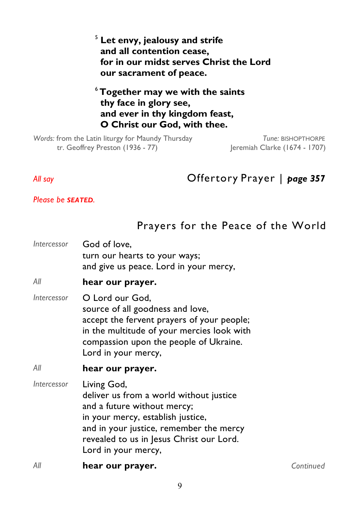<sup>5</sup> **Let envy, jealousy and strife and all contention cease, for in our midst serves Christ the Lord our sacrament of peace.** 

#### <sup>6</sup>**Together may we with the saints thy face in glory see, and ever in thy kingdom feast, O Christ our God, with thee.**

*Words:* from the Latin liturgy for Maundy Thursday *Tune: BISHOPTHORPE*<br>tr. Geoffrey Preston (1936 - 77) **Premiah Clarke** (1674 - 1707) tr. Geoffrey Preston (1936 - 77)

*All say* Offertory Prayer | *page 357* 

*Please be SEATED.* 

### Prayers for the Peace of the World

| <i><u><b>Intercessor</b></u></i> | God of love,<br>turn our hearts to your ways;<br>and give us peace. Lord in your mercy,                                                                                                                           |
|----------------------------------|-------------------------------------------------------------------------------------------------------------------------------------------------------------------------------------------------------------------|
| All                              | hear our prayer.                                                                                                                                                                                                  |
| <i><u><b>Intercessor</b></u></i> | O Lord our God,<br>source of all goodness and love,<br>accept the fervent prayers of your people;<br>in the multitude of your mercies look with<br>compassion upon the people of Ukraine.<br>Lord in your mercy,  |
| All                              | hear our prayer.                                                                                                                                                                                                  |
| <i><u><b>Intercessor</b></u></i> | Living God,<br>deliver us from a world without justice<br>and a future without mercy;<br>in your mercy, establish justice,<br>and in your justice, remember the mercy<br>revealed to us in Jesus Christ our Lord. |

*All* **hear our prayer.** *Continued* 

Lord in your mercy,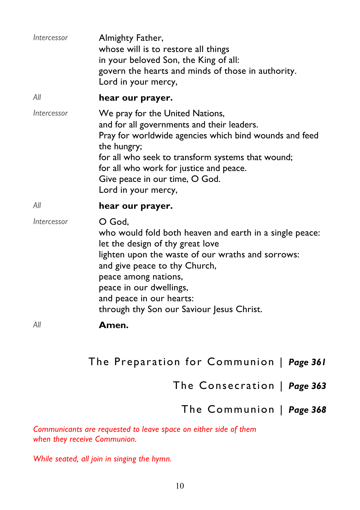| Intercessor | Almighty Father,<br>whose will is to restore all things<br>in your beloved Son, the King of all:<br>govern the hearts and minds of those in authority.<br>Lord in your mercy,                                                                                                                                           |
|-------------|-------------------------------------------------------------------------------------------------------------------------------------------------------------------------------------------------------------------------------------------------------------------------------------------------------------------------|
| All         | hear our prayer.                                                                                                                                                                                                                                                                                                        |
| Intercessor | We pray for the United Nations,<br>and for all governments and their leaders.<br>Pray for worldwide agencies which bind wounds and feed<br>the hungry;<br>for all who seek to transform systems that wound;<br>for all who work for justice and peace.<br>Give peace in our time, O God.<br>Lord in your mercy,         |
| All         | hear our prayer.                                                                                                                                                                                                                                                                                                        |
| Intercessor | O God,<br>who would fold both heaven and earth in a single peace:<br>let the design of thy great love<br>lighten upon the waste of our wraths and sorrows:<br>and give peace to thy Church,<br>peace among nations,<br>peace in our dwellings,<br>and peace in our hearts:<br>through thy Son our Saviour Jesus Christ. |
| All         | Amen.                                                                                                                                                                                                                                                                                                                   |

#### The Preparation for Communion | *Page 361*

The Consecration | *Page 363* 

#### The Communion | *Page 368*

*Communicants are requested to leave space on either side of them when they receive Communion.* 

*While seated, all join in singing the hymn.*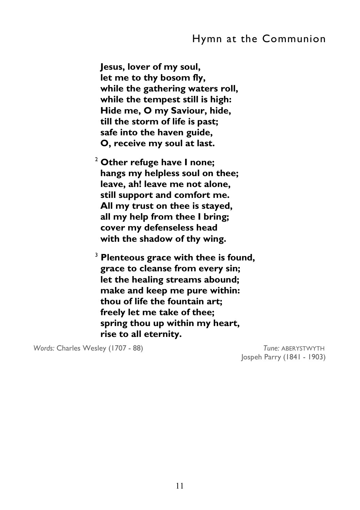#### Hymn at the Communion

 **Jesus, lover of my soul, let me to thy bosom fly, while the gathering waters roll, while the tempest still is high: Hide me, O my Saviour, hide, till the storm of life is past; safe into the haven guide, O, receive my soul at last.** 

<sup>2</sup> **Other refuge have I none; hangs my helpless soul on thee; leave, ah! leave me not alone, still support and comfort me. All my trust on thee is stayed, all my help from thee I bring; cover my defenseless head with the shadow of thy wing.** 

<sup>3</sup> **Plenteous grace with thee is found, grace to cleanse from every sin; let the healing streams abound; make and keep me pure within: thou of life the fountain art; freely let me take of thee; spring thou up within my heart, rise to all eternity.** 

*Words:* Charles Wesley (1707 - 88) *Tune:* ABERYSTWYTH

Jospeh Parry (1841 - 1903)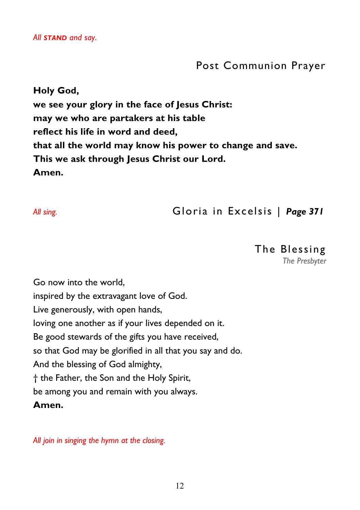#### Post Communion Prayer

**Holy God, we see your glory in the face of Jesus Christ: may we who are partakers at his table reflect his life in word and deed, that all the world may know his power to change and save. This we ask through Jesus Christ our Lord. Amen.**

*All sing.* Gloria in Excelsis | *Page 371*

### The Blessing

*The Presbyter* 

Go now into the world, inspired by the extravagant love of God. Live generously, with open hands, loving one another as if your lives depended on it. Be good stewards of the gifts you have received, so that God may be glorified in all that you say and do. And the blessing of God almighty, † the Father, the Son and the Holy Spirit, be among you and remain with you always. **Amen.** 

*All join in singing the hymn at the closing.*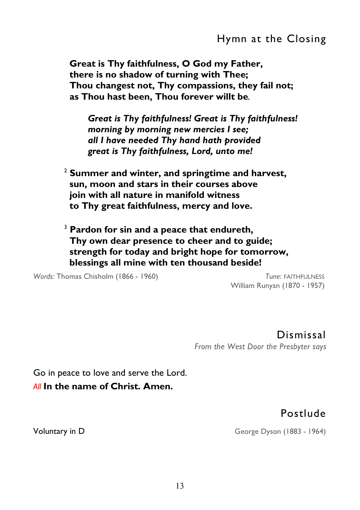### Hymn at the Closing

 **Great is Thy faithfulness, O God my Father, there is no shadow of turning with Thee; Thou changest not, Thy compassions, they fail not; as Thou hast been, Thou forever willt be**.

 *Great is Thy faithfulness! Great is Thy faithfulness! morning by morning new mercies I see; all I have needed Thy hand hath provided great is Thy faithfulness, Lord, unto me!*

2  **Summer and winter, and springtime and harvest, sun, moon and stars in their courses above join with all nature in manifold witness to Thy great faithfulness, mercy and love.** 

<sup>3</sup> **Pardon for sin and a peace that endureth, Thy own dear presence to cheer and to guide; strength for today and bright hope for tomorrow, blessings all mine with ten thousand beside!** 

*Words:* Thomas Chisholm (1866 - 1960) *Tune*: FAITHFULNESS

William Runyan (1870 - 1957)

Dismissal *From the West Door the Presbyter says* 

Go in peace to love and serve the Lord.

*All* **In the name of Christ. Amen.** 

#### Postlude

Voluntary in D George Dyson (1883 - 1964)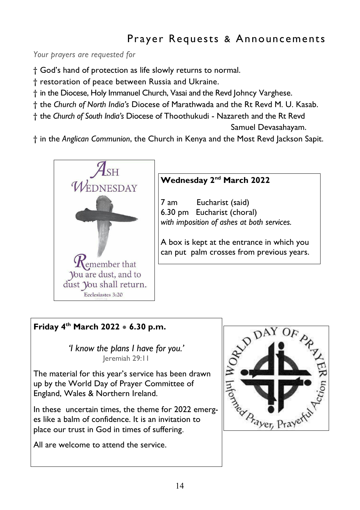### Prayer Requests & Announcements

*Your prayers are requested for* 

† God's hand of protection as life slowly returns to normal.

† restoration of peace between Russia and Ukraine.

† in the Diocese, Holy Immanuel Church, Vasai and the Revd Johncy Varghese.

- † the *Church of North India's* Diocese of Marathwada and the Rt Revd M. U. Kasab.
- † the *Church of South India's* Diocese of Thoothukudi Nazareth and the Rt Revd

Samuel Devasahayam.

† in the *Anglican Communion*, the Church in Kenya and the Most Revd Jackson Sapit.



#### **Wednesday 2nd March 2022**

7 am Eucharist (said) 6.30 pm Eucharist (choral) *with imposition of ashes at both services.* 

A box is kept at the entrance in which you can put palm crosses from previous years.

#### **Friday 4th March 2022** ● **6.30 p.m.**

*'I know the plans I have for you.'* Jeremiah 29:11

The material for this year's service has been drawn up by the World Day of Prayer Committee of England, Wales & Northern Ireland.

In these uncertain times, the theme for 2022 emerges like a balm of confidence. It is an invitation to place our trust in God in times of suffering.

All are welcome to attend the service.

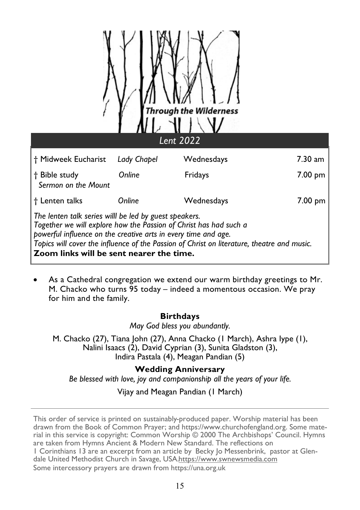| <b>Through the Wilderness</b><br><b>Lent 2022</b>                                                                                                                                                                                                                                                                                       |             |            |           |  |  |  |
|-----------------------------------------------------------------------------------------------------------------------------------------------------------------------------------------------------------------------------------------------------------------------------------------------------------------------------------------|-------------|------------|-----------|--|--|--|
| † Midweek Eucharist                                                                                                                                                                                                                                                                                                                     | Lady Chapel | Wednesdays | $7.30$ am |  |  |  |
| † Bible study<br>Sermon on the Mount                                                                                                                                                                                                                                                                                                    | Online      | Fridays    | 7.00 pm   |  |  |  |
| † Lenten talks                                                                                                                                                                                                                                                                                                                          | Online      | Wednesdays | 7.00 pm   |  |  |  |
| The lenten talk series willl be led by guest speakers.<br>Together we will explore how the Passion of Christ has had such a<br>powerful influence on the creative arts in every time and age.<br>Topics will cover the influence of the Passion of Christ on literature, theatre and music.<br>Zoom links will be sent nearer the time. |             |            |           |  |  |  |

 As a Cathedral congregation we extend our warm birthday greetings to Mr. M. Chacko who turns 95 today – indeed a momentous occasion. We pray for him and the family.

#### **Birthdays**

*May God bless you abundantly.* 

M. Chacko (27), Tiana John (27), Anna Chacko (1 March), Ashra Iype (1), Nalini Isaacs (2), David Cyprian (3), Sunita Gladston (3), Indira Pastala (4), Meagan Pandian (5)

**Wedding Anniversary**  *Be blessed with love, joy and companionship all the years of your life.* 

Vijay and Meagan Pandian (1 March)

This order of service is printed on sustainably-produced paper. Worship material has been drawn from the Book of Common Prayer; and https://www.churchofengland.org. Some material in this service is copyright: Common Worship © 2000 The Archbishops' Council. Hymns are taken from Hymns Ancient & Modern New Standard. The reflections on 1 Corinthians 13 are an excerpt from an article by Becky Jo Messenbrink, pastor at Glendale United Methodist Church in Savage, USA.https://www.swnewsmedia.com Some intercessory prayers are drawn from https://una.org.uk